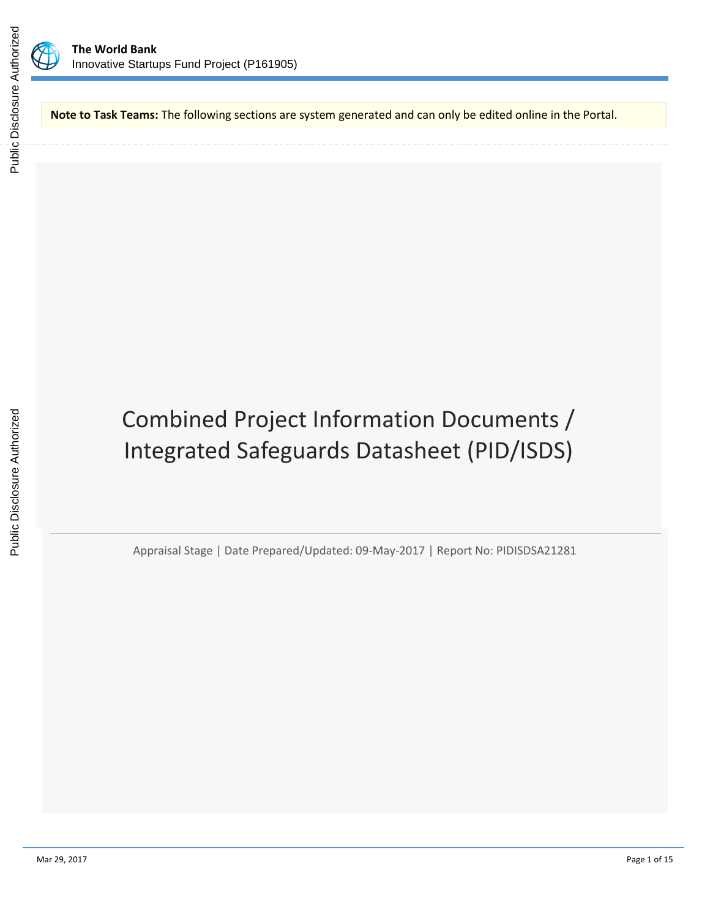

**Note to Task Teams:** The following sections are system generated and can only be edited online in the Portal.

# Combined Project Information Documents / Integrated Safeguards Datasheet (PID/ISDS)

Appraisal Stage | Date Prepared/Updated: 09-May-2017 | Report No: PIDISDSA21281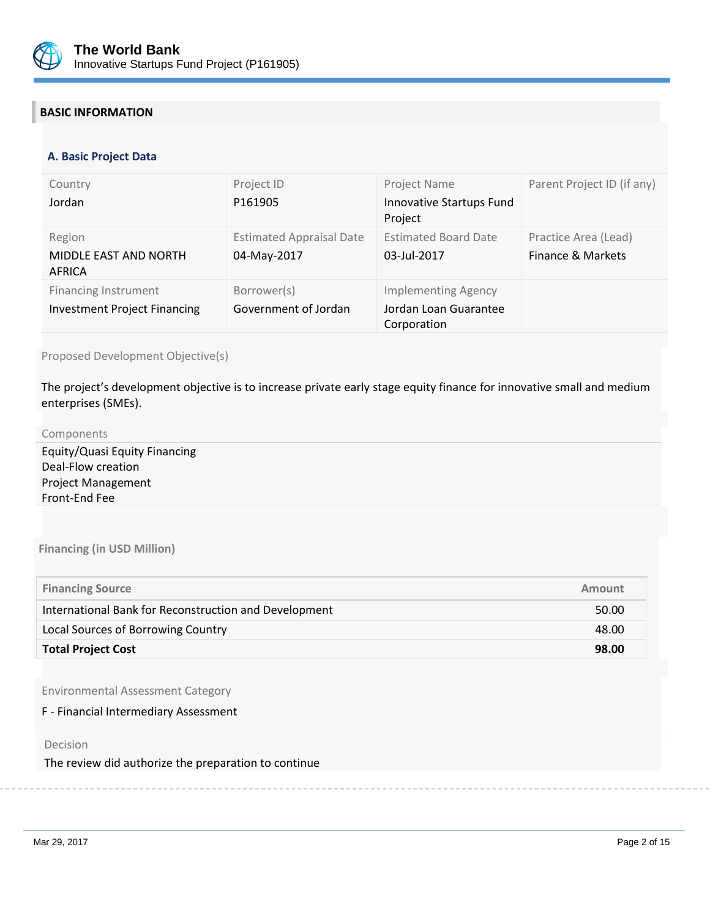

# **BASIC INFORMATION**

#### **OPS\_TABLE\_BASIC\_DATA A. Basic Project Data**

| Country<br>Jordan                                                  | Project ID<br>P <sub>161905</sub>              | Project Name<br>Innovative Startups Fund<br>Project                | Parent Project ID (if any)                |
|--------------------------------------------------------------------|------------------------------------------------|--------------------------------------------------------------------|-------------------------------------------|
| Region<br>MIDDLE EAST AND NORTH<br>AFRICA                          | <b>Estimated Appraisal Date</b><br>04-May-2017 | <b>Estimated Board Date</b><br>03-Jul-2017                         | Practice Area (Lead)<br>Finance & Markets |
| <b>Financing Instrument</b><br><b>Investment Project Financing</b> | Borrower(s)<br>Government of Jordan            | <b>Implementing Agency</b><br>Jordan Loan Guarantee<br>Corporation |                                           |

Proposed Development Objective(s)

The project's development objective is to increase private early stage equity finance for innovative small and medium enterprises (SMEs).

#### Components

Equity/Quasi Equity Financing Deal-Flow creation Project Management Front-End Fee

**Financing (in USD Million)**

| <b>Financing Source</b>                               | Amount |
|-------------------------------------------------------|--------|
| International Bank for Reconstruction and Development | 50.00  |
| Local Sources of Borrowing Country                    | 48.00  |
| <b>Total Project Cost</b>                             | 98.00  |

Environmental Assessment Category

F - Financial Intermediary Assessment

Decision

The review did authorize the preparation to continue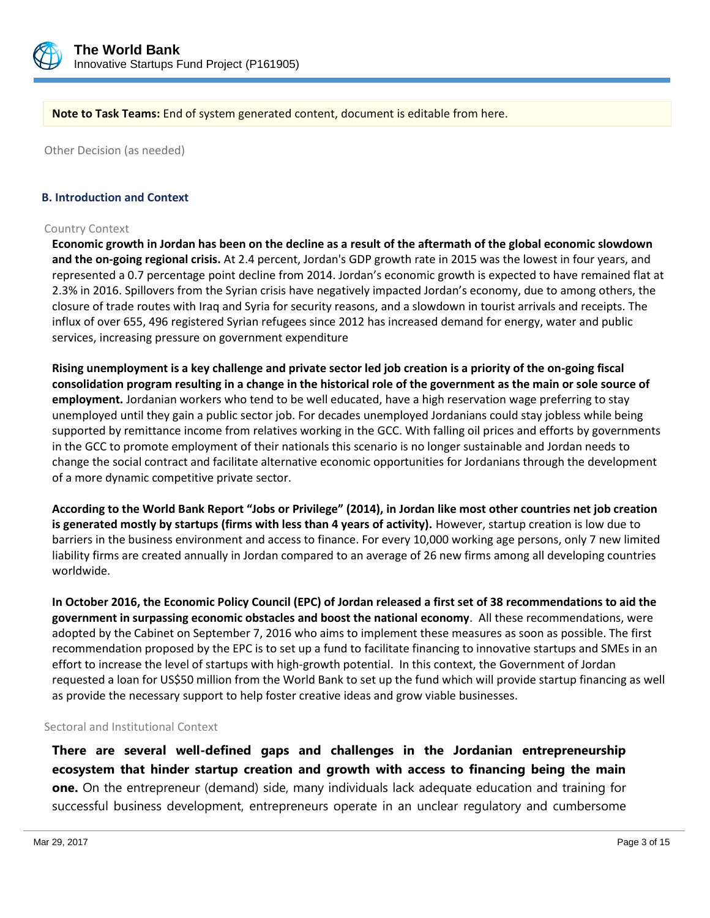

**Note to Task Teams:** End of system generated content, document is editable from here.

Other Decision (as needed)

#### **B. Introduction and Context**

#### Country Context

**Economic growth in Jordan has been on the decline as a result of the aftermath of the global economic slowdown and the on-going regional crisis.** At 2.4 percent, Jordan's GDP growth rate in 2015 was the lowest in four years, and represented a 0.7 percentage point decline from 2014. Jordan's economic growth is expected to have remained flat at 2.3% in 2016. Spillovers from the Syrian crisis have negatively impacted Jordan's economy, due to among others, the closure of trade routes with Iraq and Syria for security reasons, and a slowdown in tourist arrivals and receipts. The influx of over 655, 496 registered Syrian refugees since 2012 has increased demand for energy, water and public services, increasing pressure on government expenditure

**Rising unemployment is a key challenge and private sector led job creation is a priority of the on-going fiscal consolidation program resulting in a change in the historical role of the government as the main or sole source of employment.** Jordanian workers who tend to be well educated, have a high reservation wage preferring to stay unemployed until they gain a public sector job. For decades unemployed Jordanians could stay jobless while being supported by remittance income from relatives working in the GCC. With falling oil prices and efforts by governments in the GCC to promote employment of their nationals this scenario is no longer sustainable and Jordan needs to change the social contract and facilitate alternative economic opportunities for Jordanians through the development of a more dynamic competitive private sector.

**According to the World Bank Report "Jobs or Privilege" (2014), in Jordan like most other countries net job creation is generated mostly by startups (firms with less than 4 years of activity).** However, startup creation is low due to barriers in the business environment and access to finance. For every 10,000 working age persons, only 7 new limited liability firms are created annually in Jordan compared to an average of 26 new firms among all developing countries worldwide.

**In October 2016, the Economic Policy Council (EPC) of Jordan released a first set of 38 recommendations to aid the government in surpassing economic obstacles and boost the national economy**. All these recommendations, were adopted by the Cabinet on September 7, 2016 who aims to implement these measures as soon as possible. The first recommendation proposed by the EPC is to set up a fund to facilitate financing to innovative startups and SMEs in an effort to increase the level of startups with high-growth potential. In this context, the Government of Jordan requested a loan for US\$50 million from the World Bank to set up the fund which will provide startup financing as well as provide the necessary support to help foster creative ideas and grow viable businesses.

#### Sectoral and Institutional Context

**There are several well-defined gaps and challenges in the Jordanian entrepreneurship ecosystem that hinder startup creation and growth with access to financing being the main one.** On the entrepreneur (demand) side, many individuals lack adequate education and training for successful business development, entrepreneurs operate in an unclear regulatory and cumbersome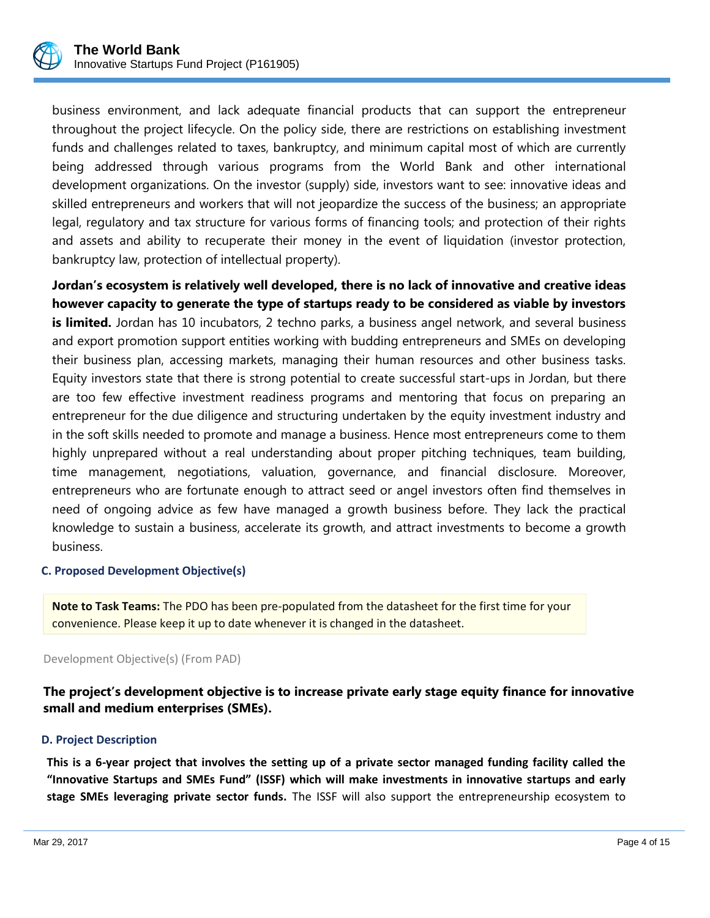

business environment, and lack adequate financial products that can support the entrepreneur throughout the project lifecycle. On the policy side, there are restrictions on establishing investment funds and challenges related to taxes, bankruptcy, and minimum capital most of which are currently being addressed through various programs from the World Bank and other international development organizations. On the investor (supply) side, investors want to see: innovative ideas and skilled entrepreneurs and workers that will not jeopardize the success of the business; an appropriate legal, regulatory and tax structure for various forms of financing tools; and protection of their rights and assets and ability to recuperate their money in the event of liquidation (investor protection, bankruptcy law, protection of intellectual property).

**Jordan's ecosystem is relatively well developed, there is no lack of innovative and creative ideas however capacity to generate the type of startups ready to be considered as viable by investors is limited.** Jordan has 10 incubators, 2 techno parks, a business angel network, and several business and export promotion support entities working with budding entrepreneurs and SMEs on developing their business plan, accessing markets, managing their human resources and other business tasks. Equity investors state that there is strong potential to create successful start-ups in Jordan, but there are too few effective investment readiness programs and mentoring that focus on preparing an entrepreneur for the due diligence and structuring undertaken by the equity investment industry and in the soft skills needed to promote and manage a business. Hence most entrepreneurs come to them highly unprepared without a real understanding about proper pitching techniques, team building, time management, negotiations, valuation, governance, and financial disclosure. Moreover, entrepreneurs who are fortunate enough to attract seed or angel investors often find themselves in need of ongoing advice as few have managed a growth business before. They lack the practical knowledge to sustain a business, accelerate its growth, and attract investments to become a growth business.

## **C. Proposed Development Objective(s)**

**Note to Task Teams:** The PDO has been pre-populated from the datasheet for the first time for your convenience. Please keep it up to date whenever it is changed in the datasheet.

Development Objective(s) (From PAD)

**The project's development objective is to increase private early stage equity finance for innovative small and medium enterprises (SMEs).**

#### **D. Project Description**

**This is a 6-year project that involves the setting up of a private sector managed funding facility called the "Innovative Startups and SMEs Fund" (ISSF) which will make investments in innovative startups and early stage SMEs leveraging private sector funds.** The ISSF will also support the entrepreneurship ecosystem to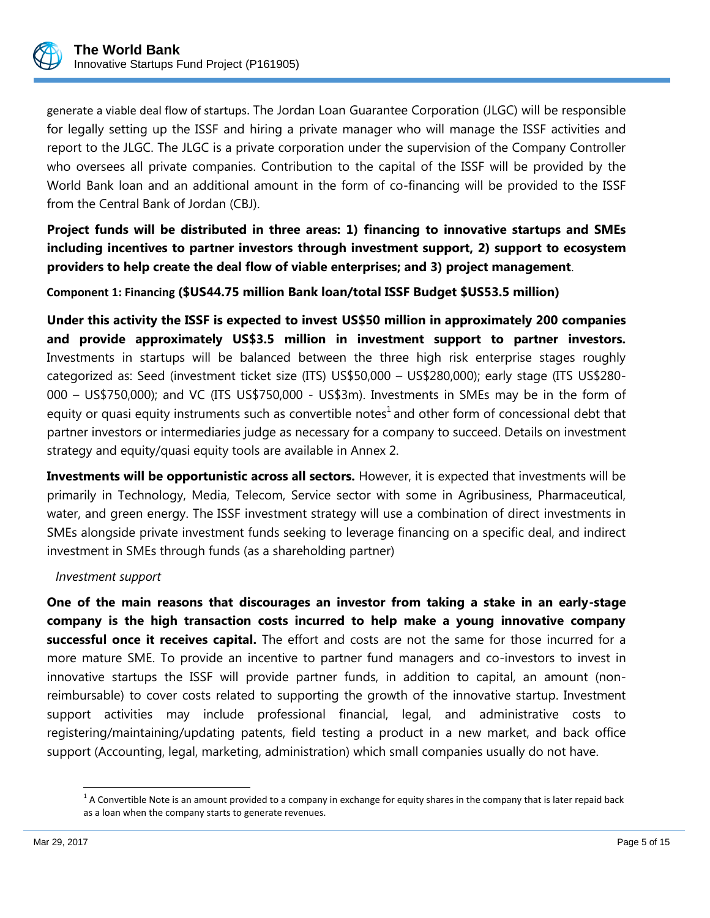

generate a viable deal flow of startups. The Jordan Loan Guarantee Corporation (JLGC) will be responsible for legally setting up the ISSF and hiring a private manager who will manage the ISSF activities and report to the JLGC. The JLGC is a private corporation under the supervision of the Company Controller who oversees all private companies. Contribution to the capital of the ISSF will be provided by the World Bank loan and an additional amount in the form of co-financing will be provided to the ISSF from the Central Bank of Jordan (CBJ).

**Project funds will be distributed in three areas: 1) financing to innovative startups and SMEs including incentives to partner investors through investment support, 2) support to ecosystem providers to help create the deal flow of viable enterprises; and 3) project management**.

**Component 1: Financing (\$US44.75 million Bank loan/total ISSF Budget \$US53.5 million)**

**Under this activity the ISSF is expected to invest US\$50 million in approximately 200 companies and provide approximately US\$3.5 million in investment support to partner investors.**  Investments in startups will be balanced between the three high risk enterprise stages roughly categorized as: Seed (investment ticket size (ITS) US\$50,000 – US\$280,000); early stage (ITS US\$280- 000 – US\$750,000); and VC (ITS US\$750,000 - US\$3m). Investments in SMEs may be in the form of equity or quasi equity instruments such as convertible notes<sup>1</sup> and other form of concessional debt that partner investors or intermediaries judge as necessary for a company to succeed. Details on investment strategy and equity/quasi equity tools are available in Annex 2.

**Investments will be opportunistic across all sectors.** However, it is expected that investments will be primarily in Technology, Media, Telecom, Service sector with some in Agribusiness, Pharmaceutical, water, and green energy. The ISSF investment strategy will use a combination of direct investments in SMEs alongside private investment funds seeking to leverage financing on a specific deal, and indirect investment in SMEs through funds (as a shareholding partner)

# *Investment support*

**One of the main reasons that discourages an investor from taking a stake in an early-stage company is the high transaction costs incurred to help make a young innovative company successful once it receives capital.** The effort and costs are not the same for those incurred for a more mature SME. To provide an incentive to partner fund managers and co-investors to invest in innovative startups the ISSF will provide partner funds, in addition to capital, an amount (nonreimbursable) to cover costs related to supporting the growth of the innovative startup. Investment support activities may include professional financial, legal, and administrative costs to registering/maintaining/updating patents, field testing a product in a new market, and back office support (Accounting, legal, marketing, administration) which small companies usually do not have.

 $\overline{\phantom{a}}$ 

 $^1$  A Convertible Note is an amount provided to a company in exchange for equity shares in the company that is later repaid back as a loan when the company starts to generate revenues.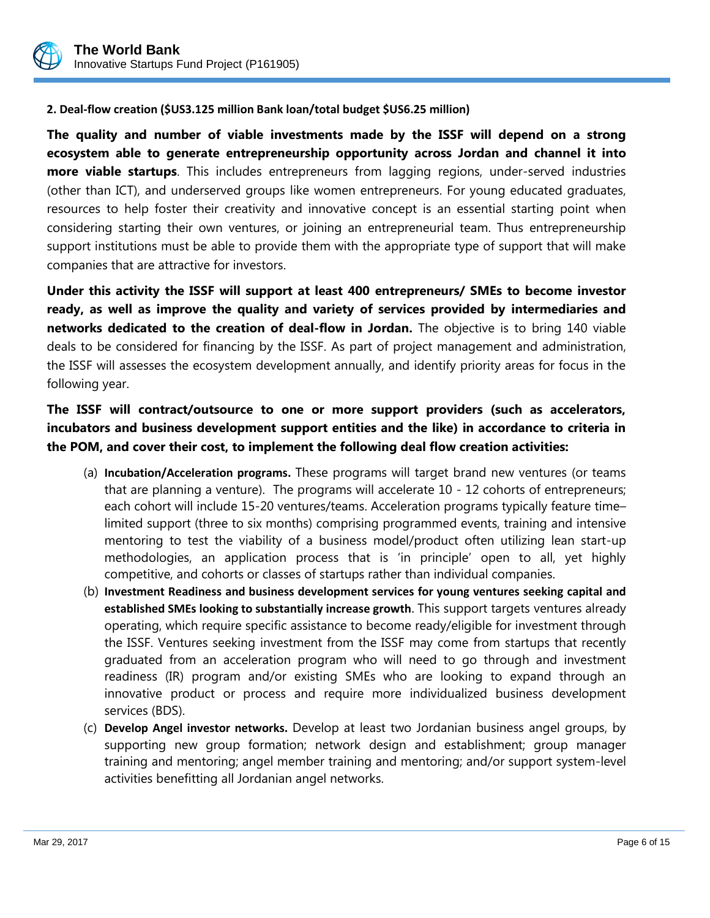

# **2. Deal-flow creation (\$US3.125 million Bank loan/total budget \$US6.25 million)**

**The quality and number of viable investments made by the ISSF will depend on a strong ecosystem able to generate entrepreneurship opportunity across Jordan and channel it into more viable startups**. This includes entrepreneurs from lagging regions, under-served industries (other than ICT), and underserved groups like women entrepreneurs. For young educated graduates, resources to help foster their creativity and innovative concept is an essential starting point when considering starting their own ventures, or joining an entrepreneurial team. Thus entrepreneurship support institutions must be able to provide them with the appropriate type of support that will make companies that are attractive for investors.

**Under this activity the ISSF will support at least 400 entrepreneurs/ SMEs to become investor ready, as well as improve the quality and variety of services provided by intermediaries and networks dedicated to the creation of deal-flow in Jordan.** The objective is to bring 140 viable deals to be considered for financing by the ISSF. As part of project management and administration, the ISSF will assesses the ecosystem development annually, and identify priority areas for focus in the following year.

# **The ISSF will contract/outsource to one or more support providers (such as accelerators, incubators and business development support entities and the like) in accordance to criteria in the POM, and cover their cost, to implement the following deal flow creation activities:**

- (a) **Incubation/Acceleration programs.** These programs will target brand new ventures (or teams that are planning a venture). The programs will accelerate 10 - 12 cohorts of entrepreneurs; each cohort will include 15-20 ventures/teams. Acceleration programs typically feature time– limited support (three to six months) comprising programmed events, training and intensive mentoring to test the viability of a business model/product often utilizing lean start-up methodologies, an application process that is 'in principle' open to all, yet highly competitive, and cohorts or classes of startups rather than individual companies.
- (b) **Investment Readiness and business development services for young ventures seeking capital and established SMEs looking to substantially increase growth**. This support targets ventures already operating, which require specific assistance to become ready/eligible for investment through the ISSF. Ventures seeking investment from the ISSF may come from startups that recently graduated from an acceleration program who will need to go through and investment readiness (IR) program and/or existing SMEs who are looking to expand through an innovative product or process and require more individualized business development services (BDS).
- (c) **Develop Angel investor networks.** Develop at least two Jordanian business angel groups, by supporting new group formation; network design and establishment; group manager training and mentoring; angel member training and mentoring; and/or support system-level activities benefitting all Jordanian angel networks.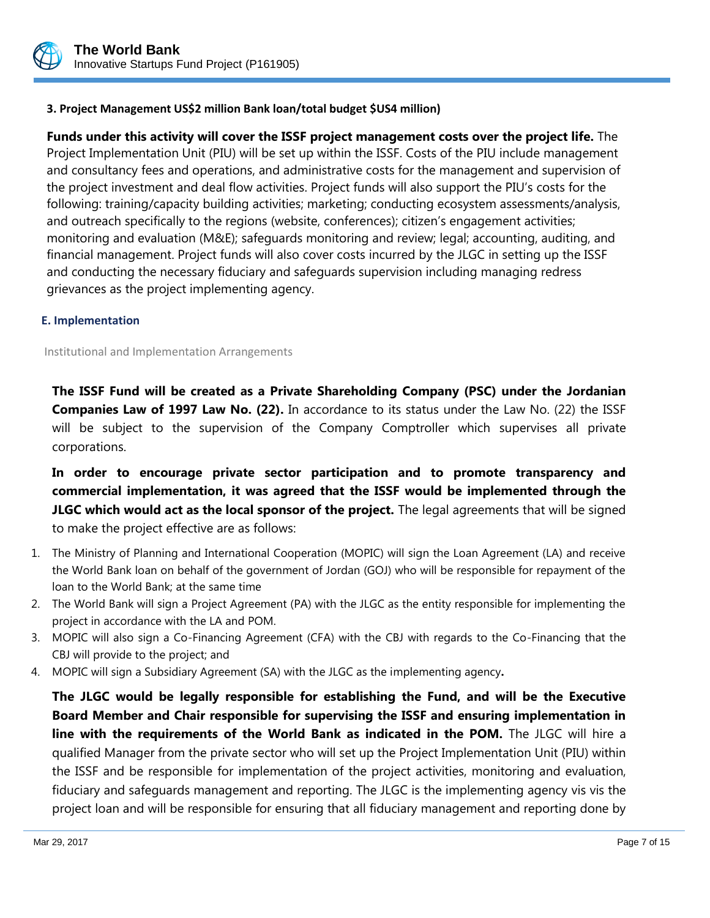

# **3. Project Management US\$2 million Bank loan/total budget \$US4 million)**

**Funds under this activity will cover the ISSF project management costs over the project life.** The Project Implementation Unit (PIU) will be set up within the ISSF. Costs of the PIU include management and consultancy fees and operations, and administrative costs for the management and supervision of the project investment and deal flow activities. Project funds will also support the PIU's costs for the following: training/capacity building activities; marketing; conducting ecosystem assessments/analysis, and outreach specifically to the regions (website, conferences); citizen's engagement activities; monitoring and evaluation (M&E); safeguards monitoring and review; legal; accounting, auditing, and financial management. Project funds will also cover costs incurred by the JLGC in setting up the ISSF and conducting the necessary fiduciary and safeguards supervision including managing redress grievances as the project implementing agency.

#### **E. Implementation**

Institutional and Implementation Arrangements

**The ISSF Fund will be created as a Private Shareholding Company (PSC) under the Jordanian Companies Law of 1997 Law No. (22).** In accordance to its status under the Law No. (22) the ISSF will be subject to the supervision of the Company Comptroller which supervises all private corporations.

**In order to encourage private sector participation and to promote transparency and commercial implementation, it was agreed that the ISSF would be implemented through the JLGC which would act as the local sponsor of the project.** The legal agreements that will be signed to make the project effective are as follows:

- 1. The Ministry of Planning and International Cooperation (MOPIC) will sign the Loan Agreement (LA) and receive the World Bank loan on behalf of the government of Jordan (GOJ) who will be responsible for repayment of the loan to the World Bank; at the same time
- 2. The World Bank will sign a Project Agreement (PA) with the JLGC as the entity responsible for implementing the project in accordance with the LA and POM.
- 3. MOPIC will also sign a Co-Financing Agreement (CFA) with the CBJ with regards to the Co-Financing that the CBJ will provide to the project; and
- 4. MOPIC will sign a Subsidiary Agreement (SA) with the JLGC as the implementing agency**.**

**The JLGC would be legally responsible for establishing the Fund, and will be the Executive Board Member and Chair responsible for supervising the ISSF and ensuring implementation in line with the requirements of the World Bank as indicated in the POM.** The JLGC will hire a qualified Manager from the private sector who will set up the Project Implementation Unit (PIU) within the ISSF and be responsible for implementation of the project activities, monitoring and evaluation, fiduciary and safeguards management and reporting. The JLGC is the implementing agency vis vis the project loan and will be responsible for ensuring that all fiduciary management and reporting done by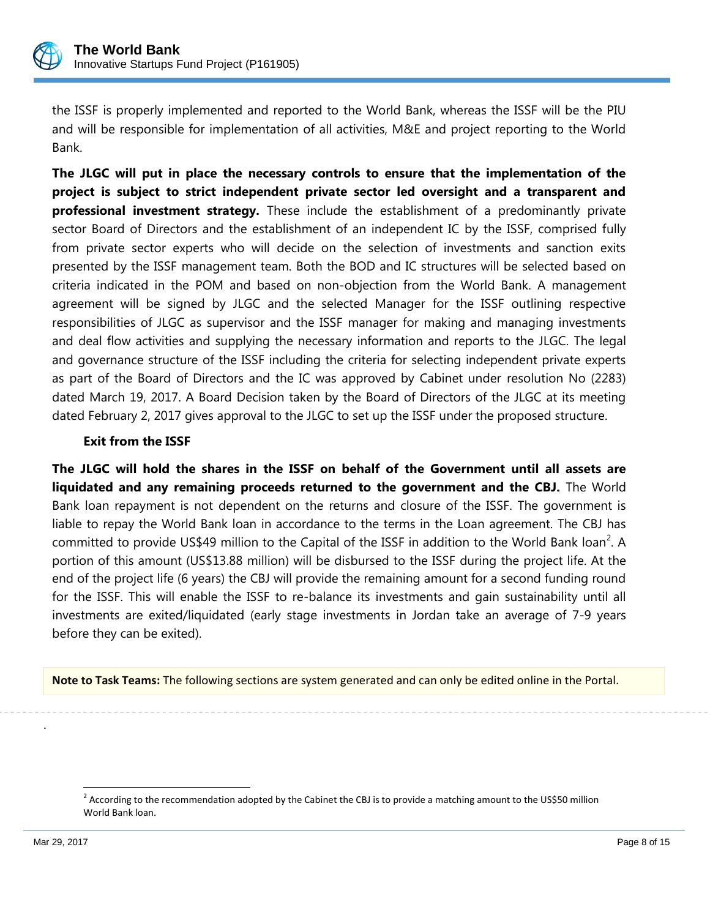

the ISSF is properly implemented and reported to the World Bank, whereas the ISSF will be the PIU and will be responsible for implementation of all activities, M&E and project reporting to the World Bank.

**The JLGC will put in place the necessary controls to ensure that the implementation of the project is subject to strict independent private sector led oversight and a transparent and professional investment strategy.** These include the establishment of a predominantly private sector Board of Directors and the establishment of an independent IC by the ISSF, comprised fully from private sector experts who will decide on the selection of investments and sanction exits presented by the ISSF management team. Both the BOD and IC structures will be selected based on criteria indicated in the POM and based on non-objection from the World Bank. A management agreement will be signed by JLGC and the selected Manager for the ISSF outlining respective responsibilities of JLGC as supervisor and the ISSF manager for making and managing investments and deal flow activities and supplying the necessary information and reports to the JLGC. The legal and governance structure of the ISSF including the criteria for selecting independent private experts as part of the Board of Directors and the IC was approved by Cabinet under resolution No (2283) dated March 19, 2017. A Board Decision taken by the Board of Directors of the JLGC at its meeting dated February 2, 2017 gives approval to the JLGC to set up the ISSF under the proposed structure.

# **Exit from the ISSF**

**The JLGC will hold the shares in the ISSF on behalf of the Government until all assets are liquidated and any remaining proceeds returned to the government and the CBJ.** The World Bank loan repayment is not dependent on the returns and closure of the ISSF. The government is liable to repay the World Bank loan in accordance to the terms in the Loan agreement. The CBJ has committed to provide US\$49 million to the Capital of the ISSF in addition to the World Bank loan<sup>2</sup>. A portion of this amount (US\$13.88 million) will be disbursed to the ISSF during the project life. At the end of the project life (6 years) the CBJ will provide the remaining amount for a second funding round for the ISSF. This will enable the ISSF to re-balance its investments and gain sustainability until all investments are exited/liquidated (early stage investments in Jordan take an average of 7-9 years before they can be exited).

**Note to Task Teams:** The following sections are system generated and can only be edited online in the Portal.

 $\overline{\phantom{a}}$ 

.

<sup>&</sup>lt;sup>2</sup> According to the recommendation adopted by the Cabinet the CBJ is to provide a matching amount to the US\$50 million World Bank loan.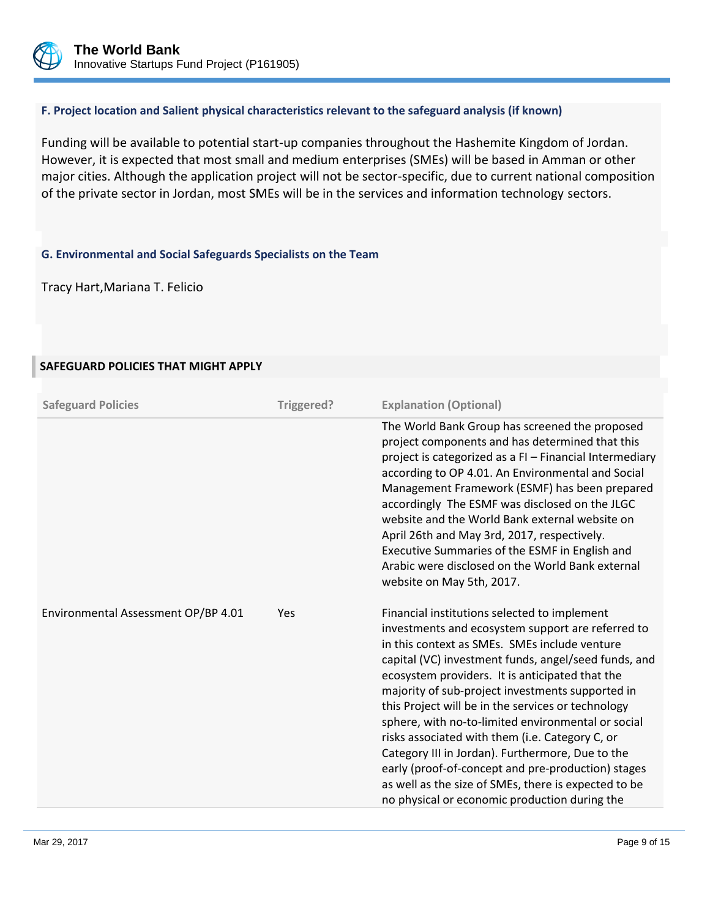

## **F. Project location and Salient physical characteristics relevant to the safeguard analysis (if known)**

Funding will be available to potential start-up companies throughout the Hashemite Kingdom of Jordan. However, it is expected that most small and medium enterprises (SMEs) will be based in Amman or other major cities. Although the application project will not be sector-specific, due to current national composition of the private sector in Jordan, most SMEs will be in the services and information technology sectors.

# **G. Environmental and Social Safeguards Specialists on the Team**

Tracy Hart,Mariana T. Felicio

# **SAFEGUARD POLICIES THAT MIGHT APPLY**

| <b>Safeguard Policies</b>           | Triggered? | <b>Explanation (Optional)</b>                                                                                                                                                                                                                                                                                                                                                                                                                                                                                                                                                                                                                                                                       |
|-------------------------------------|------------|-----------------------------------------------------------------------------------------------------------------------------------------------------------------------------------------------------------------------------------------------------------------------------------------------------------------------------------------------------------------------------------------------------------------------------------------------------------------------------------------------------------------------------------------------------------------------------------------------------------------------------------------------------------------------------------------------------|
|                                     |            | The World Bank Group has screened the proposed<br>project components and has determined that this<br>project is categorized as a FI - Financial Intermediary<br>according to OP 4.01. An Environmental and Social<br>Management Framework (ESMF) has been prepared<br>accordingly The ESMF was disclosed on the JLGC<br>website and the World Bank external website on<br>April 26th and May 3rd, 2017, respectively.<br>Executive Summaries of the ESMF in English and<br>Arabic were disclosed on the World Bank external<br>website on May 5th, 2017.                                                                                                                                            |
| Environmental Assessment OP/BP 4.01 | Yes        | Financial institutions selected to implement<br>investments and ecosystem support are referred to<br>in this context as SMEs. SMEs include venture<br>capital (VC) investment funds, angel/seed funds, and<br>ecosystem providers. It is anticipated that the<br>majority of sub-project investments supported in<br>this Project will be in the services or technology<br>sphere, with no-to-limited environmental or social<br>risks associated with them (i.e. Category C, or<br>Category III in Jordan). Furthermore, Due to the<br>early (proof-of-concept and pre-production) stages<br>as well as the size of SMEs, there is expected to be<br>no physical or economic production during the |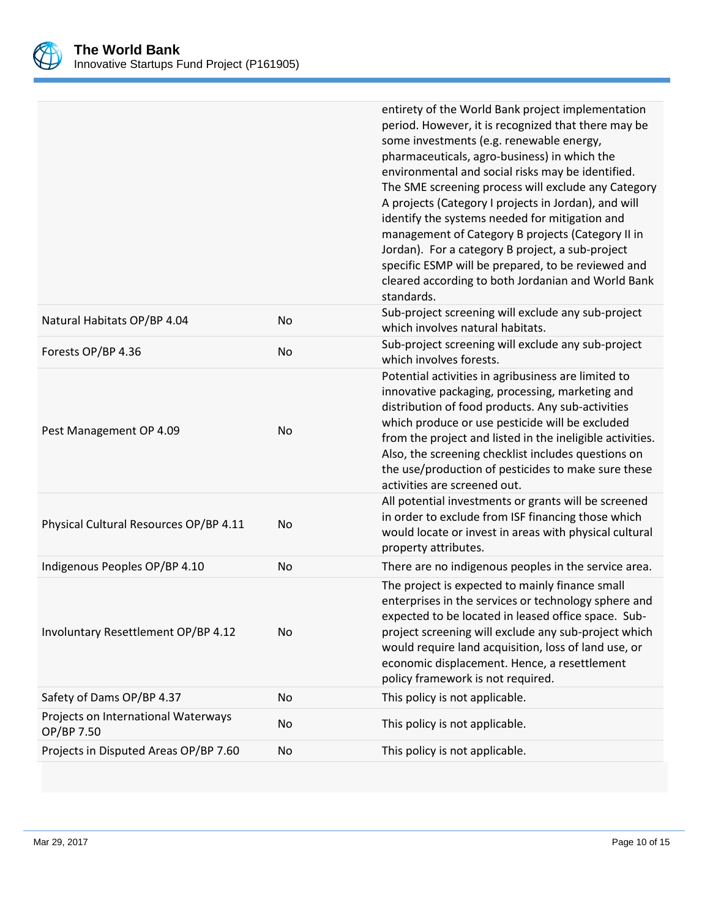

|                                                   |           | entirety of the World Bank project implementation<br>period. However, it is recognized that there may be<br>some investments (e.g. renewable energy,<br>pharmaceuticals, agro-business) in which the<br>environmental and social risks may be identified.<br>The SME screening process will exclude any Category<br>A projects (Category I projects in Jordan), and will<br>identify the systems needed for mitigation and<br>management of Category B projects (Category II in<br>Jordan). For a category B project, a sub-project<br>specific ESMP will be prepared, to be reviewed and<br>cleared according to both Jordanian and World Bank<br>standards. |
|---------------------------------------------------|-----------|---------------------------------------------------------------------------------------------------------------------------------------------------------------------------------------------------------------------------------------------------------------------------------------------------------------------------------------------------------------------------------------------------------------------------------------------------------------------------------------------------------------------------------------------------------------------------------------------------------------------------------------------------------------|
| Natural Habitats OP/BP 4.04                       | No        | Sub-project screening will exclude any sub-project<br>which involves natural habitats.                                                                                                                                                                                                                                                                                                                                                                                                                                                                                                                                                                        |
| Forests OP/BP 4.36                                | <b>No</b> | Sub-project screening will exclude any sub-project<br>which involves forests.                                                                                                                                                                                                                                                                                                                                                                                                                                                                                                                                                                                 |
| Pest Management OP 4.09                           | No        | Potential activities in agribusiness are limited to<br>innovative packaging, processing, marketing and<br>distribution of food products. Any sub-activities<br>which produce or use pesticide will be excluded<br>from the project and listed in the ineligible activities.<br>Also, the screening checklist includes questions on<br>the use/production of pesticides to make sure these<br>activities are screened out.                                                                                                                                                                                                                                     |
| Physical Cultural Resources OP/BP 4.11            | No        | All potential investments or grants will be screened<br>in order to exclude from ISF financing those which<br>would locate or invest in areas with physical cultural<br>property attributes.                                                                                                                                                                                                                                                                                                                                                                                                                                                                  |
| Indigenous Peoples OP/BP 4.10                     | No        | There are no indigenous peoples in the service area.                                                                                                                                                                                                                                                                                                                                                                                                                                                                                                                                                                                                          |
| Involuntary Resettlement OP/BP 4.12               | No        | The project is expected to mainly finance small<br>enterprises in the services or technology sphere and<br>expected to be located in leased office space. Sub-<br>project screening will exclude any sub-project which<br>would require land acquisition, loss of land use, or<br>economic displacement. Hence, a resettlement<br>policy framework is not required.                                                                                                                                                                                                                                                                                           |
| Safety of Dams OP/BP 4.37                         | No        | This policy is not applicable.                                                                                                                                                                                                                                                                                                                                                                                                                                                                                                                                                                                                                                |
| Projects on International Waterways<br>OP/BP 7.50 | No        | This policy is not applicable.                                                                                                                                                                                                                                                                                                                                                                                                                                                                                                                                                                                                                                |
| Projects in Disputed Areas OP/BP 7.60             | No        | This policy is not applicable.                                                                                                                                                                                                                                                                                                                                                                                                                                                                                                                                                                                                                                |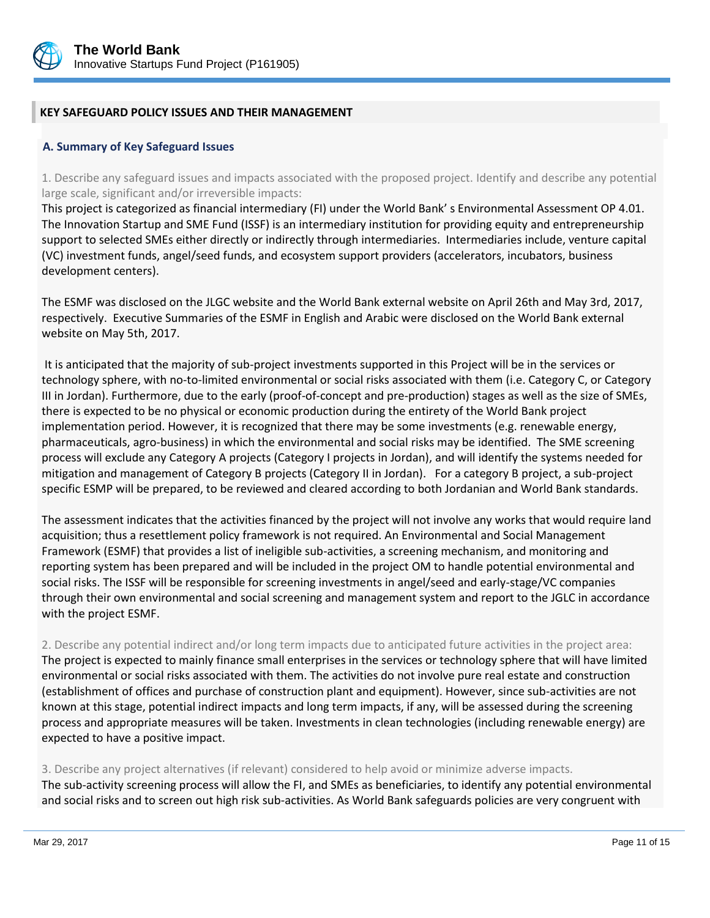

## **KEY SAFEGUARD POLICY ISSUES AND THEIR MANAGEMENT**

#### **A. Summary of Key Safeguard Issues**

1. Describe any safeguard issues and impacts associated with the proposed project. Identify and describe any potential large scale, significant and/or irreversible impacts:

This project is categorized as financial intermediary (FI) under the World Bank' s Environmental Assessment OP 4.01. The Innovation Startup and SME Fund (ISSF) is an intermediary institution for providing equity and entrepreneurship support to selected SMEs either directly or indirectly through intermediaries. Intermediaries include, venture capital (VC) investment funds, angel/seed funds, and ecosystem support providers (accelerators, incubators, business development centers).

The ESMF was disclosed on the JLGC website and the World Bank external website on April 26th and May 3rd, 2017, respectively. Executive Summaries of the ESMF in English and Arabic were disclosed on the World Bank external website on May 5th, 2017.

It is anticipated that the majority of sub-project investments supported in this Project will be in the services or technology sphere, with no-to-limited environmental or social risks associated with them (i.e. Category C, or Category III in Jordan). Furthermore, due to the early (proof-of-concept and pre-production) stages as well as the size of SMEs, there is expected to be no physical or economic production during the entirety of the World Bank project implementation period. However, it is recognized that there may be some investments (e.g. renewable energy, pharmaceuticals, agro-business) in which the environmental and social risks may be identified. The SME screening process will exclude any Category A projects (Category I projects in Jordan), and will identify the systems needed for mitigation and management of Category B projects (Category II in Jordan). For a category B project, a sub-project specific ESMP will be prepared, to be reviewed and cleared according to both Jordanian and World Bank standards.

The assessment indicates that the activities financed by the project will not involve any works that would require land acquisition; thus a resettlement policy framework is not required. An Environmental and Social Management Framework (ESMF) that provides a list of ineligible sub-activities, a screening mechanism, and monitoring and reporting system has been prepared and will be included in the project OM to handle potential environmental and social risks. The ISSF will be responsible for screening investments in angel/seed and early-stage/VC companies through their own environmental and social screening and management system and report to the JGLC in accordance with the project ESMF.

2. Describe any potential indirect and/or long term impacts due to anticipated future activities in the project area:

The project is expected to mainly finance small enterprises in the services or technology sphere that will have limited environmental or social risks associated with them. The activities do not involve pure real estate and construction (establishment of offices and purchase of construction plant and equipment). However, since sub-activities are not known at this stage, potential indirect impacts and long term impacts, if any, will be assessed during the screening process and appropriate measures will be taken. Investments in clean technologies (including renewable energy) are expected to have a positive impact.

3. Describe any project alternatives (if relevant) considered to help avoid or minimize adverse impacts. The sub-activity screening process will allow the FI, and SMEs as beneficiaries, to identify any potential environmental and social risks and to screen out high risk sub-activities. As World Bank safeguards policies are very congruent with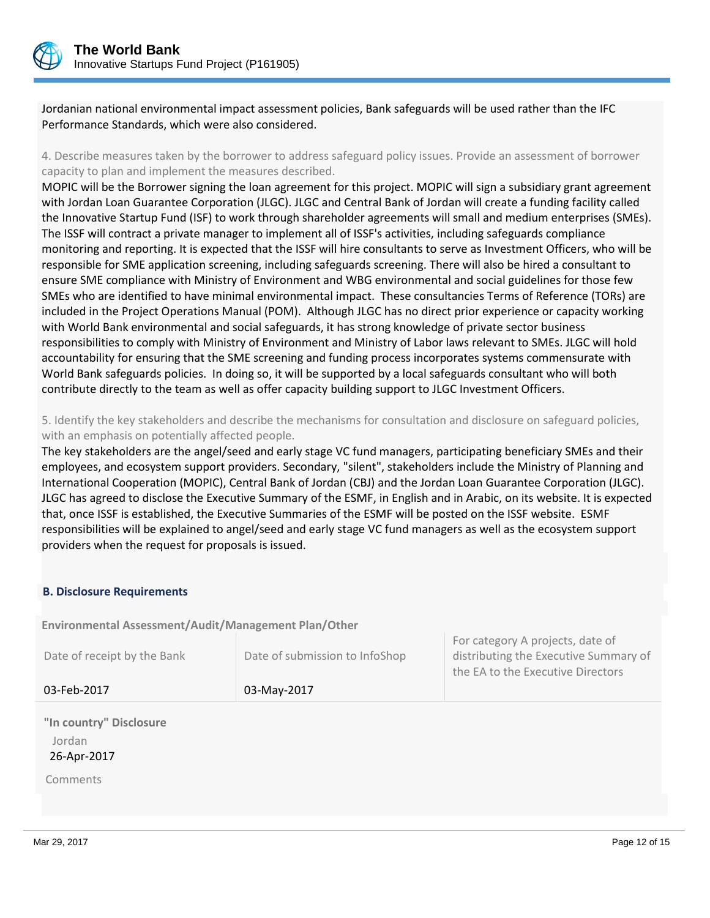

Jordanian national environmental impact assessment policies, Bank safeguards will be used rather than the IFC Performance Standards, which were also considered.

4. Describe measures taken by the borrower to address safeguard policy issues. Provide an assessment of borrower capacity to plan and implement the measures described.

MOPIC will be the Borrower signing the loan agreement for this project. MOPIC will sign a subsidiary grant agreement with Jordan Loan Guarantee Corporation (JLGC). JLGC and Central Bank of Jordan will create a funding facility called the Innovative Startup Fund (ISF) to work through shareholder agreements will small and medium enterprises (SMEs). The ISSF will contract a private manager to implement all of ISSF's activities, including safeguards compliance monitoring and reporting. It is expected that the ISSF will hire consultants to serve as Investment Officers, who will be responsible for SME application screening, including safeguards screening. There will also be hired a consultant to ensure SME compliance with Ministry of Environment and WBG environmental and social guidelines for those few SMEs who are identified to have minimal environmental impact. These consultancies Terms of Reference (TORs) are included in the Project Operations Manual (POM). Although JLGC has no direct prior experience or capacity working with World Bank environmental and social safeguards, it has strong knowledge of private sector business responsibilities to comply with Ministry of Environment and Ministry of Labor laws relevant to SMEs. JLGC will hold accountability for ensuring that the SME screening and funding process incorporates systems commensurate with World Bank safeguards policies. In doing so, it will be supported by a local safeguards consultant who will both contribute directly to the team as well as offer capacity building support to JLGC Investment Officers.

5. Identify the key stakeholders and describe the mechanisms for consultation and disclosure on safeguard policies, with an emphasis on potentially affected people.

The key stakeholders are the angel/seed and early stage VC fund managers, participating beneficiary SMEs and their employees, and ecosystem support providers. Secondary, "silent", stakeholders include the Ministry of Planning and International Cooperation (MOPIC), Central Bank of Jordan (CBJ) and the Jordan Loan Guarantee Corporation (JLGC). JLGC has agreed to disclose the Executive Summary of the ESMF, in English and in Arabic, on its website. It is expected that, once ISSF is established, the Executive Summaries of the ESMF will be posted on the ISSF website. ESMF responsibilities will be explained to angel/seed and early stage VC fund managers as well as the ecosystem support providers when the request for proposals is issued.

## **B. Disclosure Requirements**

**Environmental Assessment/Audit/Management Plan/Other** 

| Date of receipt by the Bank | Date of submission to InfoShop | For category A projects, date of<br>distributing the Executive Summary of<br>the EA to the Executive Directors |
|-----------------------------|--------------------------------|----------------------------------------------------------------------------------------------------------------|
| 03-Feb-2017                 | 03-May-2017                    |                                                                                                                |

**"In country" Disclosure** Jordan 26-Apr-2017

Comments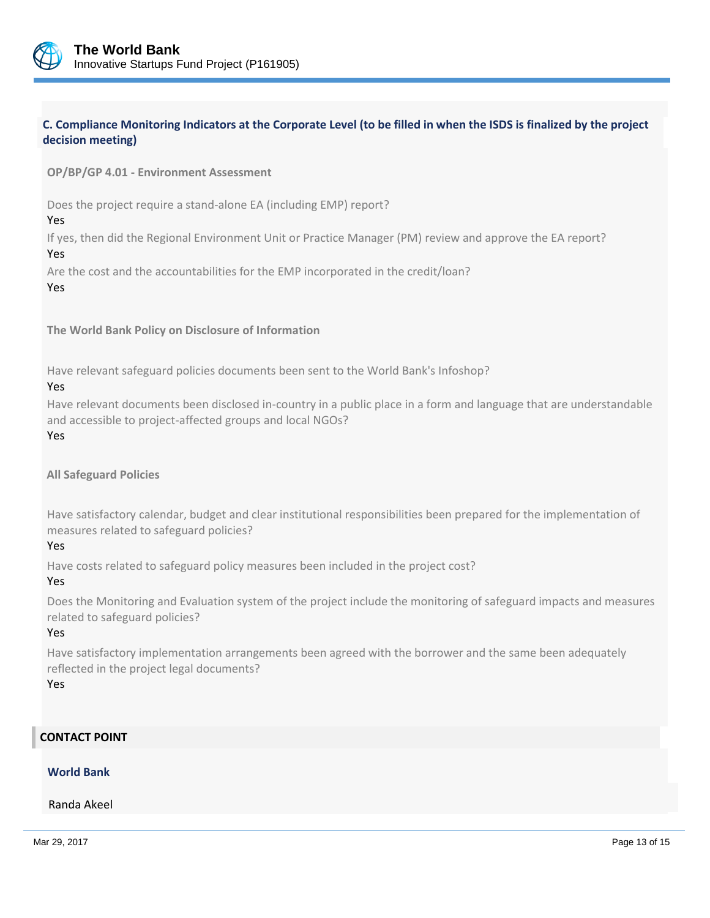

# **C. Compliance Monitoring Indicators at the Corporate Level (to be filled in when the ISDS is finalized by the project decision meeting)**

#### **OP/BP/GP 4.01 - Environment Assessment**

Does the project require a stand-alone EA (including EMP) report?

Yes

If yes, then did the Regional Environment Unit or Practice Manager (PM) review and approve the EA report? Yes

Are the cost and the accountabilities for the EMP incorporated in the credit/loan?

#### Yes

**The World Bank Policy on Disclosure of Information**

Have relevant safeguard policies documents been sent to the World Bank's Infoshop?

#### Yes

Have relevant documents been disclosed in-country in a public place in a form and language that are understandable and accessible to project-affected groups and local NGOs?

Yes

**All Safeguard Policies**

Have satisfactory calendar, budget and clear institutional responsibilities been prepared for the implementation of measures related to safeguard policies?

#### Yes

Have costs related to safeguard policy measures been included in the project cost?

#### Yes

Does the Monitoring and Evaluation system of the project include the monitoring of safeguard impacts and measures related to safeguard policies?

#### Yes

Have satisfactory implementation arrangements been agreed with the borrower and the same been adequately reflected in the project legal documents?

Yes

## **CONTACT POINT**

# **World Bank**

Randa Akeel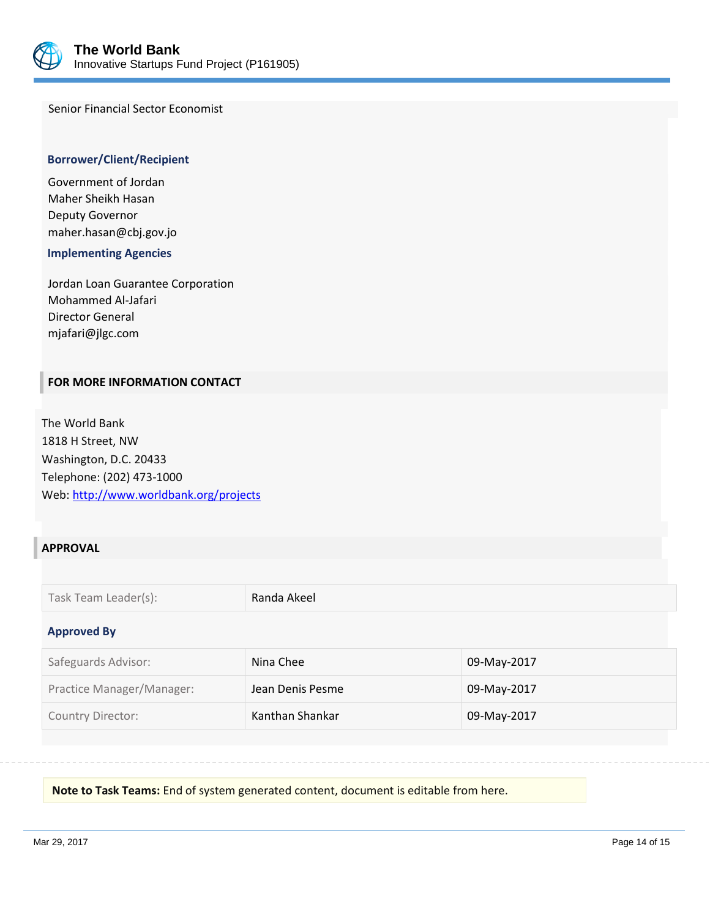

Senior Financial Sector Economist

#### **Borrower/Client/Recipient**

Government of Jordan Maher Sheikh Hasan Deputy Governor maher.hasan@cbj.gov.jo

 **Implementing Agencies**

Jordan Loan Guarantee Corporation Mohammed Al-Jafari Director General mjafari@jlgc.com

## **FOR MORE INFORMATION CONTACT**

The World Bank 1818 H Street, NW Washington, D.C. 20433 Telephone: (202) 473-1000 Web[: http://www.worldbank.org/projects](http://www.worldbank.org/projects)

# **APPROVAL**

| Task Team Leader(s): | Randa Akeel |
|----------------------|-------------|
|----------------------|-------------|

#### **Approved By**

| Safeguards Advisor:       | Nina Chee        | 09-May-2017 |
|---------------------------|------------------|-------------|
| Practice Manager/Manager: | Jean Denis Pesme | 09-May-2017 |
| <b>Country Director:</b>  | Kanthan Shankar  | 09-May-2017 |

**Note to Task Teams:** End of system generated content, document is editable from here.